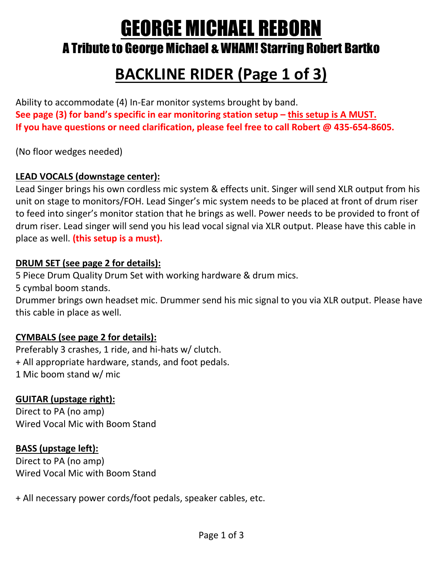# GEORGE MICHAEL REBORN A Tribute to George Michael & WHAM! Starring Robert Bartko

## **BACKLINE RIDER (Page 1 of 3)**

Ability to accommodate (4) In-Ear monitor systems brought by band. **See page (3) for band's specific in ear monitoring station setup – this setup is A MUST. If you have questions or need clarification, please feel free to call Robert @ 435-654-8605.**

(No floor wedges needed)

## **LEAD VOCALS (downstage center):**

Lead Singer brings his own cordless mic system & effects unit. Singer will send XLR output from his unit on stage to monitors/FOH. Lead Singer's mic system needs to be placed at front of drum riser to feed into singer's monitor station that he brings as well. Power needs to be provided to front of drum riser. Lead singer will send you his lead vocal signal via XLR output. Please have this cable in place as well. **(this setup is a must).**

#### **DRUM SET (see page 2 for details):**

5 Piece Drum Quality Drum Set with working hardware & drum mics. 5 cymbal boom stands. Drummer brings own headset mic. Drummer send his mic signal to you via XLR output. Please have this cable in place as well.

## **CYMBALS (see page 2 for details):**

Preferably 3 crashes, 1 ride, and hi-hats w/ clutch. + All appropriate hardware, stands, and foot pedals. 1 Mic boom stand w/ mic

## **GUITAR (upstage right):**

Direct to PA (no amp) Wired Vocal Mic with Boom Stand

## **BASS (upstage left):**

Direct to PA (no amp) Wired Vocal Mic with Boom Stand

+ All necessary power cords/foot pedals, speaker cables, etc.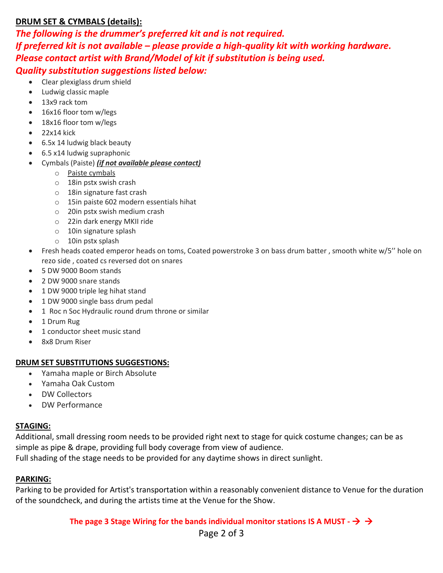#### **DRUM SET & CYMBALS (details):**

## *The following is the drummer's preferred kit and is not required. If preferred kit is not available – please provide a high-quality kit with working hardware. Please contact artist with Brand/Model of kit if substitution is being used. Quality substitution suggestions listed below:*

- Clear plexiglass drum shield
- Ludwig classic maple
- 13x9 rack tom
- 16x16 floor tom w/legs
- 18x16 floor tom w/legs
- $\bullet$  22x14 kick
- 6.5x 14 ludwig black beauty
- 6.5 x14 ludwig supraphonic
- Cymbals (Paiste) *(if not available please contact)*
	- o Paiste cymbals
	- o 18in pstx swish crash
	- o 18in signature fast crash
	- o 15in paiste 602 modern essentials hihat
	- o 20in pstx swish medium crash
	- o 22in dark energy MKII ride
	- o 10in signature splash
	- o 10in pstx splash
- Fresh heads coated emperor heads on toms, Coated powerstroke 3 on bass drum batter , smooth white w/5'' hole on rezo side , coated cs reversed dot on snares
- 5 DW 9000 Boom stands
- 2 DW 9000 snare stands
- 1 DW 9000 triple leg hihat stand
- 1 DW 9000 single bass drum pedal
- 1 Roc n Soc Hydraulic round drum throne or similar
- 1 Drum Rug
- 1 conductor sheet music stand
- 8x8 Drum Riser

#### **DRUM SET SUBSTITUTIONS SUGGESTIONS:**

- Yamaha maple or Birch Absolute
- Yamaha Oak Custom
- DW Collectors
- DW Performance

#### **STAGING:**

Additional, small dressing room needs to be provided right next to stage for quick costume changes; can be as simple as pipe & drape, providing full body coverage from view of audience. Full shading of the stage needs to be provided for any daytime shows in direct sunlight.

#### **PARKING:**

Parking to be provided for Artist's transportation within a reasonably convenient distance to Venue for the duration of the soundcheck, and during the artists time at the Venue for the Show.

## The page 3 Stage Wiring for the bands individual monitor stations IS A MUST -  $\rightarrow$   $\rightarrow$